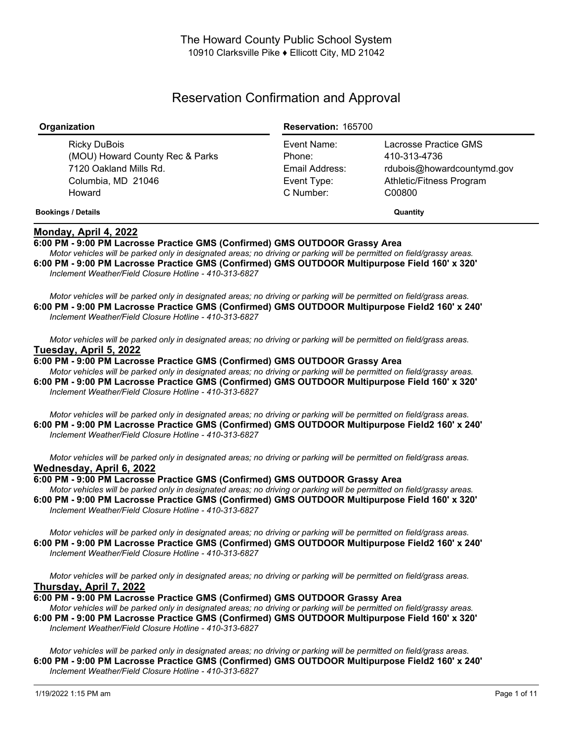# Reservation Confirmation and Approval

| Organization                                                                                              | <b>Reservation: 165700</b>                                          |                                                                                                           |
|-----------------------------------------------------------------------------------------------------------|---------------------------------------------------------------------|-----------------------------------------------------------------------------------------------------------|
| Ricky DuBois<br>(MOU) Howard County Rec & Parks<br>7120 Oakland Mills Rd.<br>Columbia, MD 21046<br>Howard | Event Name:<br>Phone:<br>Email Address:<br>Event Type:<br>C Number: | Lacrosse Practice GMS<br>410-313-4736<br>rdubois@howardcountymd.gov<br>Athletic/Fitness Program<br>C00800 |
| <b>Bookings / Details</b>                                                                                 |                                                                     | Quantity                                                                                                  |

## **Monday, April 4, 2022**

**6:00 PM - 9:00 PM Lacrosse Practice GMS (Confirmed) GMS OUTDOOR Grassy Area**

Motor vehicles will be parked only in designated areas; no driving or parking will be permitted on field/grassy areas. **6:00 PM - 9:00 PM Lacrosse Practice GMS (Confirmed) GMS OUTDOOR Multipurpose Field 160' x 320'** *Inclement Weather/Field Closure Hotline - 410-313-6827*

Motor vehicles will be parked only in designated areas: no driving or parking will be permitted on field/grass areas. **6:00 PM - 9:00 PM Lacrosse Practice GMS (Confirmed) GMS OUTDOOR Multipurpose Field2 160' x 240'** *Inclement Weather/Field Closure Hotline - 410-313-6827*

Motor vehicles will be parked only in designated areas; no driving or parking will be permitted on field/grass areas. **Tuesday, April 5, 2022**

**6:00 PM - 9:00 PM Lacrosse Practice GMS (Confirmed) GMS OUTDOOR Grassy Area** Motor vehicles will be parked only in designated areas; no driving or parking will be permitted on field/grassy areas.

**6:00 PM - 9:00 PM Lacrosse Practice GMS (Confirmed) GMS OUTDOOR Multipurpose Field 160' x 320'** *Inclement Weather/Field Closure Hotline - 410-313-6827*

Motor vehicles will be parked only in designated areas; no driving or parking will be permitted on field/grass areas. **6:00 PM - 9:00 PM Lacrosse Practice GMS (Confirmed) GMS OUTDOOR Multipurpose Field2 160' x 240'** *Inclement Weather/Field Closure Hotline - 410-313-6827*

Motor vehicles will be parked only in designated areas; no driving or parking will be permitted on field/grass areas. **Wednesday, April 6, 2022**

**6:00 PM - 9:00 PM Lacrosse Practice GMS (Confirmed) GMS OUTDOOR Grassy Area**

Motor vehicles will be parked only in designated areas; no driving or parking will be permitted on field/grassy areas. **6:00 PM - 9:00 PM Lacrosse Practice GMS (Confirmed) GMS OUTDOOR Multipurpose Field 160' x 320'** *Inclement Weather/Field Closure Hotline - 410-313-6827*

Motor vehicles will be parked only in designated areas; no driving or parking will be permitted on field/grass areas. **6:00 PM - 9:00 PM Lacrosse Practice GMS (Confirmed) GMS OUTDOOR Multipurpose Field2 160' x 240'** *Inclement Weather/Field Closure Hotline - 410-313-6827*

Motor vehicles will be parked only in designated areas; no driving or parking will be permitted on field/grass areas. **Thursday, April 7, 2022**

**6:00 PM - 9:00 PM Lacrosse Practice GMS (Confirmed) GMS OUTDOOR Grassy Area**

Motor vehicles will be parked only in designated areas; no driving or parking will be permitted on field/grassy areas. **6:00 PM - 9:00 PM Lacrosse Practice GMS (Confirmed) GMS OUTDOOR Multipurpose Field 160' x 320'** *Inclement Weather/Field Closure Hotline - 410-313-6827*

Motor vehicles will be parked only in designated areas; no driving or parking will be permitted on field/grass areas. **6:00 PM - 9:00 PM Lacrosse Practice GMS (Confirmed) GMS OUTDOOR Multipurpose Field2 160' x 240'** *Inclement Weather/Field Closure Hotline - 410-313-6827*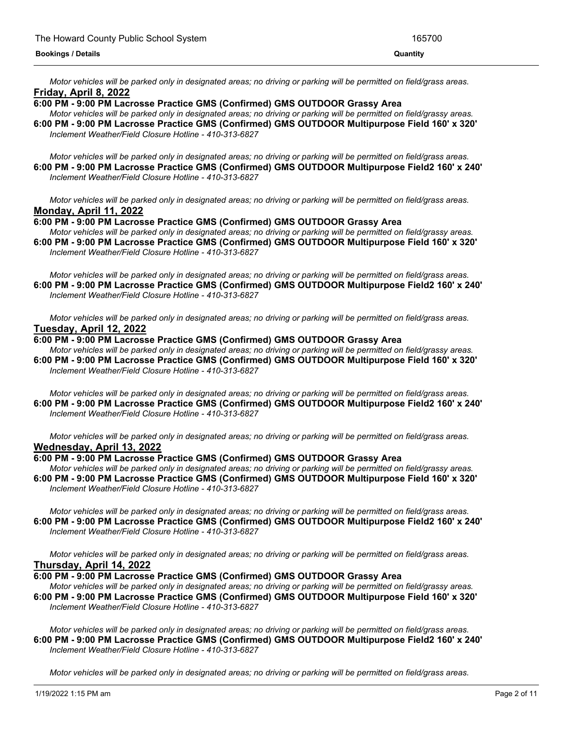Motor vehicles will be parked only in designated areas; no driving or parking will be permitted on field/grass areas. **Friday, April 8, 2022**

## **6:00 PM - 9:00 PM Lacrosse Practice GMS (Confirmed) GMS OUTDOOR Grassy Area**

Motor vehicles will be parked only in designated areas; no driving or parking will be permitted on field/grassy areas. **6:00 PM - 9:00 PM Lacrosse Practice GMS (Confirmed) GMS OUTDOOR Multipurpose Field 160' x 320'** *Inclement Weather/Field Closure Hotline - 410-313-6827*

Motor vehicles will be parked only in designated areas; no driving or parking will be permitted on field/grass areas. **6:00 PM - 9:00 PM Lacrosse Practice GMS (Confirmed) GMS OUTDOOR Multipurpose Field2 160' x 240'** *Inclement Weather/Field Closure Hotline - 410-313-6827*

Motor vehicles will be parked only in designated areas; no driving or parking will be permitted on field/grass areas. **Monday, April 11, 2022**

### **6:00 PM - 9:00 PM Lacrosse Practice GMS (Confirmed) GMS OUTDOOR Grassy Area**

Motor vehicles will be parked only in designated areas; no driving or parking will be permitted on field/grassy areas. **6:00 PM - 9:00 PM Lacrosse Practice GMS (Confirmed) GMS OUTDOOR Multipurpose Field 160' x 320'** *Inclement Weather/Field Closure Hotline - 410-313-6827*

Motor vehicles will be parked only in designated areas; no driving or parking will be permitted on field/grass areas. **6:00 PM - 9:00 PM Lacrosse Practice GMS (Confirmed) GMS OUTDOOR Multipurpose Field2 160' x 240'** *Inclement Weather/Field Closure Hotline - 410-313-6827*

Motor vehicles will be parked only in designated areas; no driving or parking will be permitted on field/grass areas. **Tuesday, April 12, 2022**

#### **6:00 PM - 9:00 PM Lacrosse Practice GMS (Confirmed) GMS OUTDOOR Grassy Area**

Motor vehicles will be parked only in designated areas; no driving or parking will be permitted on field/grassy areas. **6:00 PM - 9:00 PM Lacrosse Practice GMS (Confirmed) GMS OUTDOOR Multipurpose Field 160' x 320'** *Inclement Weather/Field Closure Hotline - 410-313-6827*

Motor vehicles will be parked only in designated areas; no driving or parking will be permitted on field/grass areas. **6:00 PM - 9:00 PM Lacrosse Practice GMS (Confirmed) GMS OUTDOOR Multipurpose Field2 160' x 240'** *Inclement Weather/Field Closure Hotline - 410-313-6827*

Motor vehicles will be parked only in designated areas; no driving or parking will be permitted on field/grass areas. **Wednesday, April 13, 2022**

## **6:00 PM - 9:00 PM Lacrosse Practice GMS (Confirmed) GMS OUTDOOR Grassy Area**

Motor vehicles will be parked only in designated areas; no driving or parking will be permitted on field/grassy areas. **6:00 PM - 9:00 PM Lacrosse Practice GMS (Confirmed) GMS OUTDOOR Multipurpose Field 160' x 320'** *Inclement Weather/Field Closure Hotline - 410-313-6827*

Motor vehicles will be parked only in designated areas; no driving or parking will be permitted on field/grass areas. **6:00 PM - 9:00 PM Lacrosse Practice GMS (Confirmed) GMS OUTDOOR Multipurpose Field2 160' x 240'** *Inclement Weather/Field Closure Hotline - 410-313-6827*

Motor vehicles will be parked only in designated areas; no driving or parking will be permitted on field/grass areas. **Thursday, April 14, 2022**

**6:00 PM - 9:00 PM Lacrosse Practice GMS (Confirmed) GMS OUTDOOR Grassy Area**

Motor vehicles will be parked only in designated areas; no driving or parking will be permitted on field/grassy areas. **6:00 PM - 9:00 PM Lacrosse Practice GMS (Confirmed) GMS OUTDOOR Multipurpose Field 160' x 320'** *Inclement Weather/Field Closure Hotline - 410-313-6827*

Motor vehicles will be parked only in designated areas; no driving or parking will be permitted on field/grass areas. **6:00 PM - 9:00 PM Lacrosse Practice GMS (Confirmed) GMS OUTDOOR Multipurpose Field2 160' x 240'** *Inclement Weather/Field Closure Hotline - 410-313-6827*

Motor vehicles will be parked only in designated areas; no driving or parking will be permitted on field/grass areas.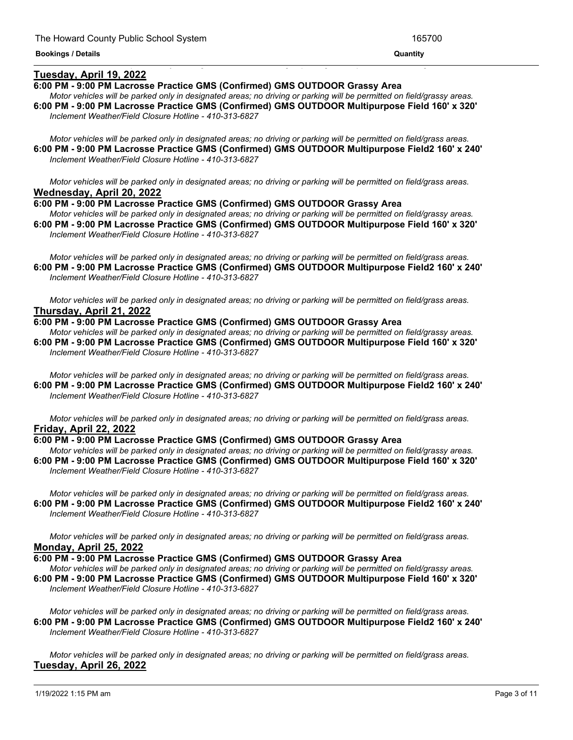## **Tuesday, April 19, 2022**

## **6:00 PM - 9:00 PM Lacrosse Practice GMS (Confirmed) GMS OUTDOOR Grassy Area**

Motor vehicles will be parked only in designated areas; no driving or parking will be permitted on field/grassy areas. **6:00 PM - 9:00 PM Lacrosse Practice GMS (Confirmed) GMS OUTDOOR Multipurpose Field 160' x 320'** *Inclement Weather/Field Closure Hotline - 410-313-6827*

<u> 1999 - Jan James James James James James James James James James James James James James James James James J</u>

Motor vehicles will be parked only in designated areas; no driving or parking will be permitted on field/grass areas. **6:00 PM - 9:00 PM Lacrosse Practice GMS (Confirmed) GMS OUTDOOR Multipurpose Field2 160' x 240'** *Inclement Weather/Field Closure Hotline - 410-313-6827*

Motor vehicles will be parked only in designated areas; no driving or parking will be permitted on field/grass areas. **Wednesday, April 20, 2022**

**6:00 PM - 9:00 PM Lacrosse Practice GMS (Confirmed) GMS OUTDOOR Grassy Area**

Motor vehicles will be parked only in designated areas; no driving or parking will be permitted on field/grassy areas. **6:00 PM - 9:00 PM Lacrosse Practice GMS (Confirmed) GMS OUTDOOR Multipurpose Field 160' x 320'** *Inclement Weather/Field Closure Hotline - 410-313-6827*

Motor vehicles will be parked only in designated areas; no driving or parking will be permitted on field/grass areas. **6:00 PM - 9:00 PM Lacrosse Practice GMS (Confirmed) GMS OUTDOOR Multipurpose Field2 160' x 240'** *Inclement Weather/Field Closure Hotline - 410-313-6827*

Motor vehicles will be parked only in designated areas; no driving or parking will be permitted on field/grass areas. **Thursday, April 21, 2022**

### **6:00 PM - 9:00 PM Lacrosse Practice GMS (Confirmed) GMS OUTDOOR Grassy Area**

Motor vehicles will be parked only in designated areas; no driving or parking will be permitted on field/grassy areas. **6:00 PM - 9:00 PM Lacrosse Practice GMS (Confirmed) GMS OUTDOOR Multipurpose Field 160' x 320'** *Inclement Weather/Field Closure Hotline - 410-313-6827*

Motor vehicles will be parked only in designated areas; no driving or parking will be permitted on field/grass areas. **6:00 PM - 9:00 PM Lacrosse Practice GMS (Confirmed) GMS OUTDOOR Multipurpose Field2 160' x 240'** *Inclement Weather/Field Closure Hotline - 410-313-6827*

Motor vehicles will be parked only in designated areas; no driving or parking will be permitted on field/grass areas. **Friday, April 22, 2022**

#### **6:00 PM - 9:00 PM Lacrosse Practice GMS (Confirmed) GMS OUTDOOR Grassy Area**

Motor vehicles will be parked only in designated areas; no driving or parking will be permitted on field/grassy areas. **6:00 PM - 9:00 PM Lacrosse Practice GMS (Confirmed) GMS OUTDOOR Multipurpose Field 160' x 320'** *Inclement Weather/Field Closure Hotline - 410-313-6827*

Motor vehicles will be parked only in designated areas; no driving or parking will be permitted on field/grass areas. **6:00 PM - 9:00 PM Lacrosse Practice GMS (Confirmed) GMS OUTDOOR Multipurpose Field2 160' x 240'** *Inclement Weather/Field Closure Hotline - 410-313-6827*

Motor vehicles will be parked only in designated areas; no driving or parking will be permitted on field/grass areas. **Monday, April 25, 2022**

**6:00 PM - 9:00 PM Lacrosse Practice GMS (Confirmed) GMS OUTDOOR Grassy Area**

Motor vehicles will be parked only in designated areas; no driving or parking will be permitted on field/grassy areas. **6:00 PM - 9:00 PM Lacrosse Practice GMS (Confirmed) GMS OUTDOOR Multipurpose Field 160' x 320'** *Inclement Weather/Field Closure Hotline - 410-313-6827*

Motor vehicles will be parked only in designated areas; no driving or parking will be permitted on field/grass areas. **6:00 PM - 9:00 PM Lacrosse Practice GMS (Confirmed) GMS OUTDOOR Multipurpose Field2 160' x 240'** *Inclement Weather/Field Closure Hotline - 410-313-6827*

Motor vehicles will be parked only in designated areas; no driving or parking will be permitted on field/grass areas. **Tuesday, April 26, 2022**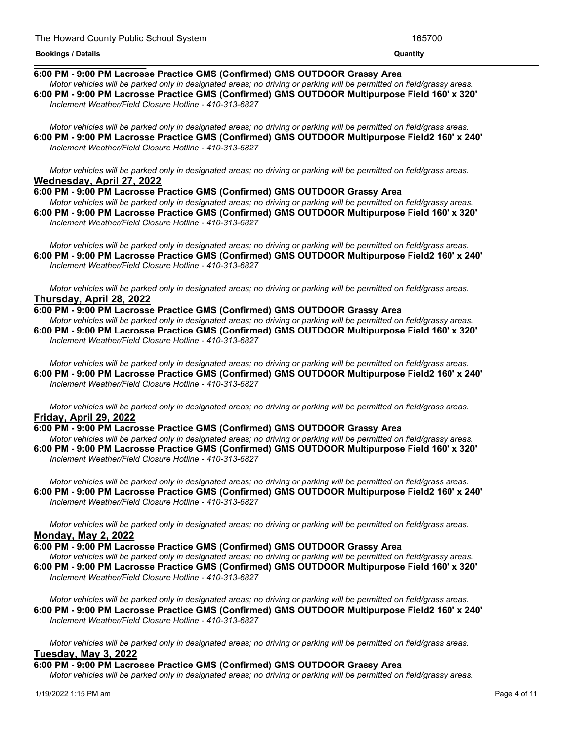#### **Tuesday, April 26, 2022 Bookings / Details Quantity**

## **6:00 PM - 9:00 PM Lacrosse Practice GMS (Confirmed) GMS OUTDOOR Grassy Area**

Motor vehicles will be parked only in designated areas: no driving or parking will be permitted on field/grassy areas. **6:00 PM - 9:00 PM Lacrosse Practice GMS (Confirmed) GMS OUTDOOR Multipurpose Field 160' x 320'** *Inclement Weather/Field Closure Hotline - 410-313-6827*

Motor vehicles will be parked only in designated areas; no driving or parking will be permitted on field/grass areas. **6:00 PM - 9:00 PM Lacrosse Practice GMS (Confirmed) GMS OUTDOOR Multipurpose Field2 160' x 240'** *Inclement Weather/Field Closure Hotline - 410-313-6827*

Motor vehicles will be parked only in designated areas; no driving or parking will be permitted on field/grass areas. **Wednesday, April 27, 2022**

**6:00 PM - 9:00 PM Lacrosse Practice GMS (Confirmed) GMS OUTDOOR Grassy Area**

Motor vehicles will be parked only in designated areas: no driving or parking will be permitted on field/grassy areas. **6:00 PM - 9:00 PM Lacrosse Practice GMS (Confirmed) GMS OUTDOOR Multipurpose Field 160' x 320'** *Inclement Weather/Field Closure Hotline - 410-313-6827*

Motor vehicles will be parked only in designated areas; no driving or parking will be permitted on field/grass areas. **6:00 PM - 9:00 PM Lacrosse Practice GMS (Confirmed) GMS OUTDOOR Multipurpose Field2 160' x 240'** *Inclement Weather/Field Closure Hotline - 410-313-6827*

Motor vehicles will be parked only in designated areas; no driving or parking will be permitted on field/grass areas. **Thursday, April 28, 2022**

## **6:00 PM - 9:00 PM Lacrosse Practice GMS (Confirmed) GMS OUTDOOR Grassy Area**

Motor vehicles will be parked only in designated areas; no driving or parking will be permitted on field/grassy areas. **6:00 PM - 9:00 PM Lacrosse Practice GMS (Confirmed) GMS OUTDOOR Multipurpose Field 160' x 320'** *Inclement Weather/Field Closure Hotline - 410-313-6827*

Motor vehicles will be parked only in designated areas; no driving or parking will be permitted on field/grass areas. **6:00 PM - 9:00 PM Lacrosse Practice GMS (Confirmed) GMS OUTDOOR Multipurpose Field2 160' x 240'** *Inclement Weather/Field Closure Hotline - 410-313-6827*

Motor vehicles will be parked only in designated areas; no driving or parking will be permitted on field/grass areas. **Friday, April 29, 2022**

## **6:00 PM - 9:00 PM Lacrosse Practice GMS (Confirmed) GMS OUTDOOR Grassy Area**

Motor vehicles will be parked only in designated areas; no driving or parking will be permitted on field/grassy areas. **6:00 PM - 9:00 PM Lacrosse Practice GMS (Confirmed) GMS OUTDOOR Multipurpose Field 160' x 320'** *Inclement Weather/Field Closure Hotline - 410-313-6827*

Motor vehicles will be parked only in designated areas; no driving or parking will be permitted on field/grass areas. **6:00 PM - 9:00 PM Lacrosse Practice GMS (Confirmed) GMS OUTDOOR Multipurpose Field2 160' x 240'** *Inclement Weather/Field Closure Hotline - 410-313-6827*

Motor vehicles will be parked only in designated areas; no driving or parking will be permitted on field/grass areas. **Monday, May 2, 2022**

## **6:00 PM - 9:00 PM Lacrosse Practice GMS (Confirmed) GMS OUTDOOR Grassy Area**

Motor vehicles will be parked only in designated areas; no driving or parking will be permitted on field/grassy areas. **6:00 PM - 9:00 PM Lacrosse Practice GMS (Confirmed) GMS OUTDOOR Multipurpose Field 160' x 320'** *Inclement Weather/Field Closure Hotline - 410-313-6827*

Motor vehicles will be parked only in designated areas; no driving or parking will be permitted on field/grass areas. **6:00 PM - 9:00 PM Lacrosse Practice GMS (Confirmed) GMS OUTDOOR Multipurpose Field2 160' x 240'** *Inclement Weather/Field Closure Hotline - 410-313-6827*

Motor vehicles will be parked only in designated areas; no driving or parking will be permitted on field/grass areas. **Tuesday, May 3, 2022**

**6:00 PM - 9:00 PM Lacrosse Practice GMS (Confirmed) GMS OUTDOOR Grassy Area**

Motor vehicles will be parked only in designated areas; no driving or parking will be permitted on field/grassy areas.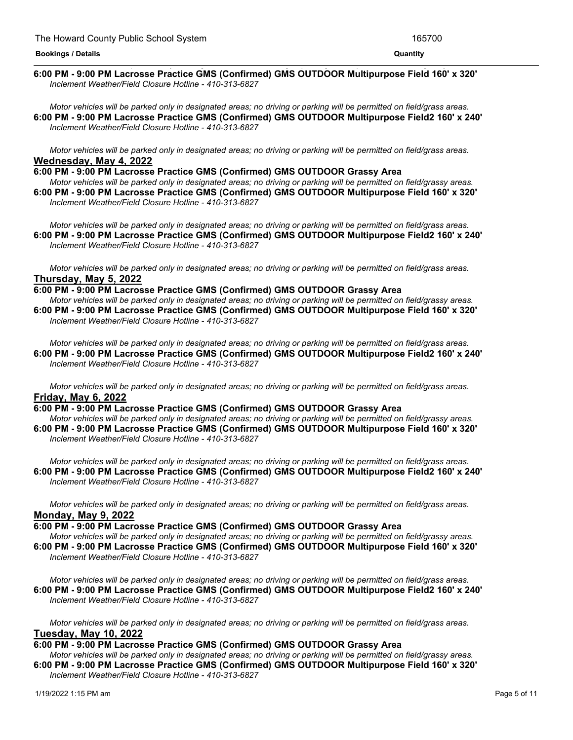#### <u> 1989 - Andrea San Andrea San Andrea San Andrea San Andrea San Andrea San Andrea San Andrea San Andrea San An</u> **6:00 PM - 9:00 PM Lacrosse Practice GMS (Confirmed) GMS OUTDOOR Multipurpose Field 160' x 320'** *Inclement Weather/Field Closure Hotline - 410-313-6827*

Motor vehicles will be parked only in designated areas; no driving or parking will be permitted on field/grass areas. **6:00 PM - 9:00 PM Lacrosse Practice GMS (Confirmed) GMS OUTDOOR Multipurpose Field2 160' x 240'** *Inclement Weather/Field Closure Hotline - 410-313-6827*

Motor vehicles will be parked only in designated areas; no driving or parking will be permitted on field/grass areas. **Wednesday, May 4, 2022**

**6:00 PM - 9:00 PM Lacrosse Practice GMS (Confirmed) GMS OUTDOOR Grassy Area**

Motor vehicles will be parked only in designated areas; no driving or parking will be permitted on field/grassy areas. **6:00 PM - 9:00 PM Lacrosse Practice GMS (Confirmed) GMS OUTDOOR Multipurpose Field 160' x 320'** *Inclement Weather/Field Closure Hotline - 410-313-6827*

Motor vehicles will be parked only in designated areas; no driving or parking will be permitted on field/grass areas. **6:00 PM - 9:00 PM Lacrosse Practice GMS (Confirmed) GMS OUTDOOR Multipurpose Field2 160' x 240'** *Inclement Weather/Field Closure Hotline - 410-313-6827*

Motor vehicles will be parked only in designated areas; no driving or parking will be permitted on field/grass areas. **Thursday, May 5, 2022**

**6:00 PM - 9:00 PM Lacrosse Practice GMS (Confirmed) GMS OUTDOOR Grassy Area**

Motor vehicles will be parked only in designated areas; no driving or parking will be permitted on field/grassy areas. **6:00 PM - 9:00 PM Lacrosse Practice GMS (Confirmed) GMS OUTDOOR Multipurpose Field 160' x 320'** *Inclement Weather/Field Closure Hotline - 410-313-6827*

Motor vehicles will be parked only in designated areas; no driving or parking will be permitted on field/grass areas. **6:00 PM - 9:00 PM Lacrosse Practice GMS (Confirmed) GMS OUTDOOR Multipurpose Field2 160' x 240'** *Inclement Weather/Field Closure Hotline - 410-313-6827*

Motor vehicles will be parked only in designated areas; no driving or parking will be permitted on field/grass areas. **Friday, May 6, 2022**

**6:00 PM - 9:00 PM Lacrosse Practice GMS (Confirmed) GMS OUTDOOR Grassy Area** Motor vehicles will be parked only in designated areas; no driving or parking will be permitted on field/grassy areas.

**6:00 PM - 9:00 PM Lacrosse Practice GMS (Confirmed) GMS OUTDOOR Multipurpose Field 160' x 320'** *Inclement Weather/Field Closure Hotline - 410-313-6827*

Motor vehicles will be parked only in designated areas; no driving or parking will be permitted on field/grass areas. **6:00 PM - 9:00 PM Lacrosse Practice GMS (Confirmed) GMS OUTDOOR Multipurpose Field2 160' x 240'** *Inclement Weather/Field Closure Hotline - 410-313-6827*

Motor vehicles will be parked only in designated areas; no driving or parking will be permitted on field/grass areas. **Monday, May 9, 2022**

**6:00 PM - 9:00 PM Lacrosse Practice GMS (Confirmed) GMS OUTDOOR Grassy Area**

Motor vehicles will be parked only in designated areas; no driving or parking will be permitted on field/grassy areas. **6:00 PM - 9:00 PM Lacrosse Practice GMS (Confirmed) GMS OUTDOOR Multipurpose Field 160' x 320'** *Inclement Weather/Field Closure Hotline - 410-313-6827*

Motor vehicles will be parked only in designated areas; no driving or parking will be permitted on field/grass areas. **6:00 PM - 9:00 PM Lacrosse Practice GMS (Confirmed) GMS OUTDOOR Multipurpose Field2 160' x 240'** *Inclement Weather/Field Closure Hotline - 410-313-6827*

Motor vehicles will be parked only in designated areas; no driving or parking will be permitted on field/grass areas. **Tuesday, May 10, 2022**

## **6:00 PM - 9:00 PM Lacrosse Practice GMS (Confirmed) GMS OUTDOOR Grassy Area**

Motor vehicles will be parked only in designated areas; no driving or parking will be permitted on field/grassy areas. **6:00 PM - 9:00 PM Lacrosse Practice GMS (Confirmed) GMS OUTDOOR Multipurpose Field 160' x 320'** *Inclement Weather/Field Closure Hotline - 410-313-6827*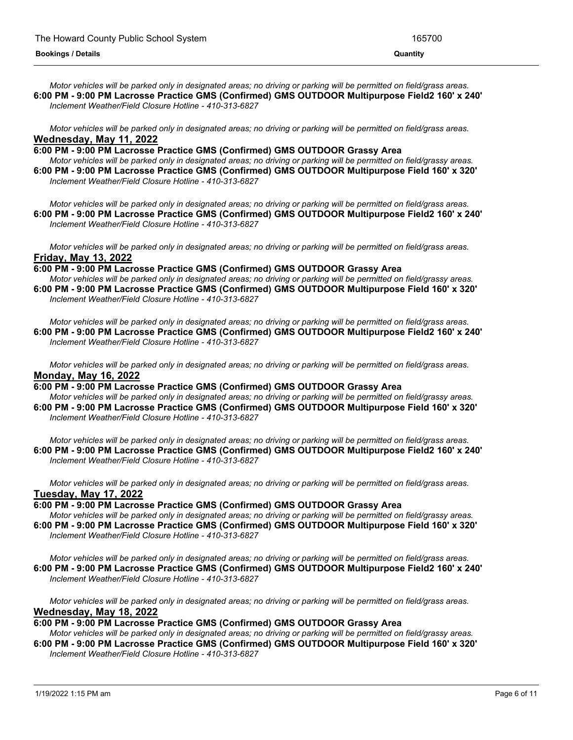Motor vehicles will be parked only in designated areas; no driving or parking will be permitted on field/grass areas. **6:00 PM - 9:00 PM Lacrosse Practice GMS (Confirmed) GMS OUTDOOR Multipurpose Field2 160' x 240'** *Inclement Weather/Field Closure Hotline - 410-313-6827*

Motor vehicles will be parked only in designated areas; no driving or parking will be permitted on field/grass areas. **Wednesday, May 11, 2022**

**6:00 PM - 9:00 PM Lacrosse Practice GMS (Confirmed) GMS OUTDOOR Grassy Area**

Motor vehicles will be parked only in designated areas; no driving or parking will be permitted on field/grassy areas. **6:00 PM - 9:00 PM Lacrosse Practice GMS (Confirmed) GMS OUTDOOR Multipurpose Field 160' x 320'** *Inclement Weather/Field Closure Hotline - 410-313-6827*

Motor vehicles will be parked only in designated areas; no driving or parking will be permitted on field/grass areas. **6:00 PM - 9:00 PM Lacrosse Practice GMS (Confirmed) GMS OUTDOOR Multipurpose Field2 160' x 240'** *Inclement Weather/Field Closure Hotline - 410-313-6827*

Motor vehicles will be parked only in designated areas; no driving or parking will be permitted on field/grass areas. **Friday, May 13, 2022**

**6:00 PM - 9:00 PM Lacrosse Practice GMS (Confirmed) GMS OUTDOOR Grassy Area** Motor vehicles will be parked only in designated areas; no driving or parking will be permitted on field/grassy areas.

**6:00 PM - 9:00 PM Lacrosse Practice GMS (Confirmed) GMS OUTDOOR Multipurpose Field 160' x 320'** *Inclement Weather/Field Closure Hotline - 410-313-6827*

Motor vehicles will be parked only in designated areas; no driving or parking will be permitted on field/grass areas. **6:00 PM - 9:00 PM Lacrosse Practice GMS (Confirmed) GMS OUTDOOR Multipurpose Field2 160' x 240'** *Inclement Weather/Field Closure Hotline - 410-313-6827*

Motor vehicles will be parked only in designated areas; no driving or parking will be permitted on field/grass areas. **Monday, May 16, 2022**

**6:00 PM - 9:00 PM Lacrosse Practice GMS (Confirmed) GMS OUTDOOR Grassy Area** Motor vehicles will be parked only in designated areas; no driving or parking will be permitted on field/grassy areas. **6:00 PM - 9:00 PM Lacrosse Practice GMS (Confirmed) GMS OUTDOOR Multipurpose Field 160' x 320'**

*Inclement Weather/Field Closure Hotline - 410-313-6827*

Motor vehicles will be parked only in designated areas; no driving or parking will be permitted on field/grass areas. **6:00 PM - 9:00 PM Lacrosse Practice GMS (Confirmed) GMS OUTDOOR Multipurpose Field2 160' x 240'** *Inclement Weather/Field Closure Hotline - 410-313-6827*

Motor vehicles will be parked only in designated areas; no driving or parking will be permitted on field/grass areas. **Tuesday, May 17, 2022**

**6:00 PM - 9:00 PM Lacrosse Practice GMS (Confirmed) GMS OUTDOOR Grassy Area**

Motor vehicles will be parked only in designated areas; no driving or parking will be permitted on field/grassy areas. **6:00 PM - 9:00 PM Lacrosse Practice GMS (Confirmed) GMS OUTDOOR Multipurpose Field 160' x 320'** *Inclement Weather/Field Closure Hotline - 410-313-6827*

Motor vehicles will be parked only in designated areas; no driving or parking will be permitted on field/grass areas. **6:00 PM - 9:00 PM Lacrosse Practice GMS (Confirmed) GMS OUTDOOR Multipurpose Field2 160' x 240'** *Inclement Weather/Field Closure Hotline - 410-313-6827*

Motor vehicles will be parked only in designated areas; no driving or parking will be permitted on field/grass areas. **Wednesday, May 18, 2022**

## **6:00 PM - 9:00 PM Lacrosse Practice GMS (Confirmed) GMS OUTDOOR Grassy Area**

Motor vehicles will be parked only in designated areas; no driving or parking will be permitted on field/grassy areas.

**6:00 PM - 9:00 PM Lacrosse Practice GMS (Confirmed) GMS OUTDOOR Multipurpose Field 160' x 320'** *Inclement Weather/Field Closure Hotline - 410-313-6827*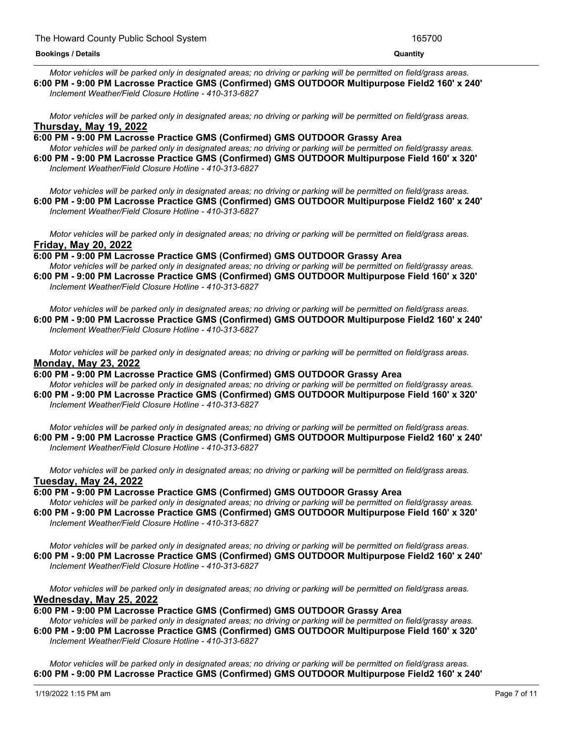Motor vehicles will be parked only in designated areas; no driving or parking will be permitted on field/grass areas. **6:00 PM - 9:00 PM Lacrosse Practice GMS (Confirmed) GMS OUTDOOR Multipurpose Field2 160' x 240'** *Inclement Weather/Field Closure Hotline - 410-313-6827*

Motor vehicles will be parked only in designated areas; no driving or parking will be permitted on field/grass areas. **Thursday, May 19, 2022**

**6:00 PM - 9:00 PM Lacrosse Practice GMS (Confirmed) GMS OUTDOOR Grassy Area** Motor vehicles will be parked only in designated areas; no driving or parking will be permitted on field/grassy areas. **6:00 PM - 9:00 PM Lacrosse Practice GMS (Confirmed) GMS OUTDOOR Multipurpose Field 160' x 320'**

*Inclement Weather/Field Closure Hotline - 410-313-6827*

Motor vehicles will be parked only in designated areas; no driving or parking will be permitted on field/grass areas. **6:00 PM - 9:00 PM Lacrosse Practice GMS (Confirmed) GMS OUTDOOR Multipurpose Field2 160' x 240'** *Inclement Weather/Field Closure Hotline - 410-313-6827*

Motor vehicles will be parked only in designated areas; no driving or parking will be permitted on field/grass areas. **Friday, May 20, 2022**

**6:00 PM - 9:00 PM Lacrosse Practice GMS (Confirmed) GMS OUTDOOR Grassy Area**

Motor vehicles will be parked only in designated areas; no driving or parking will be permitted on field/grassy areas. **6:00 PM - 9:00 PM Lacrosse Practice GMS (Confirmed) GMS OUTDOOR Multipurpose Field 160' x 320'** *Inclement Weather/Field Closure Hotline - 410-313-6827*

Motor vehicles will be parked only in designated areas; no driving or parking will be permitted on field/grass areas. **6:00 PM - 9:00 PM Lacrosse Practice GMS (Confirmed) GMS OUTDOOR Multipurpose Field2 160' x 240'** *Inclement Weather/Field Closure Hotline - 410-313-6827*

Motor vehicles will be parked only in designated areas; no driving or parking will be permitted on field/grass areas. **Monday, May 23, 2022**

**6:00 PM - 9:00 PM Lacrosse Practice GMS (Confirmed) GMS OUTDOOR Grassy Area** Motor vehicles will be parked only in designated areas; no driving or parking will be permitted on field/grassy areas. **6:00 PM - 9:00 PM Lacrosse Practice GMS (Confirmed) GMS OUTDOOR Multipurpose Field 160' x 320'** *Inclement Weather/Field Closure Hotline - 410-313-6827*

Motor vehicles will be parked only in designated areas; no driving or parking will be permitted on field/grass areas. **6:00 PM - 9:00 PM Lacrosse Practice GMS (Confirmed) GMS OUTDOOR Multipurpose Field2 160' x 240'** *Inclement Weather/Field Closure Hotline - 410-313-6827*

Motor vehicles will be parked only in designated areas; no driving or parking will be permitted on field/grass areas. **Tuesday, May 24, 2022**

**6:00 PM - 9:00 PM Lacrosse Practice GMS (Confirmed) GMS OUTDOOR Grassy Area**

Motor vehicles will be parked only in designated areas; no driving or parking will be permitted on field/grassy areas. **6:00 PM - 9:00 PM Lacrosse Practice GMS (Confirmed) GMS OUTDOOR Multipurpose Field 160' x 320'** *Inclement Weather/Field Closure Hotline - 410-313-6827*

Motor vehicles will be parked only in designated areas; no driving or parking will be permitted on field/grass areas. **6:00 PM - 9:00 PM Lacrosse Practice GMS (Confirmed) GMS OUTDOOR Multipurpose Field2 160' x 240'** *Inclement Weather/Field Closure Hotline - 410-313-6827*

Motor vehicles will be parked only in designated areas; no driving or parking will be permitted on field/grass areas. **Wednesday, May 25, 2022**

**6:00 PM - 9:00 PM Lacrosse Practice GMS (Confirmed) GMS OUTDOOR Grassy Area**

Motor vehicles will be parked only in designated areas; no driving or parking will be permitted on field/grassy areas. **6:00 PM - 9:00 PM Lacrosse Practice GMS (Confirmed) GMS OUTDOOR Multipurpose Field 160' x 320'** *Inclement Weather/Field Closure Hotline - 410-313-6827*

Motor vehicles will be parked only in designated areas; no driving or parking will be permitted on field/grass areas. **6:00 PM - 9:00 PM Lacrosse Practice GMS (Confirmed) GMS OUTDOOR Multipurpose Field2 160' x 240'**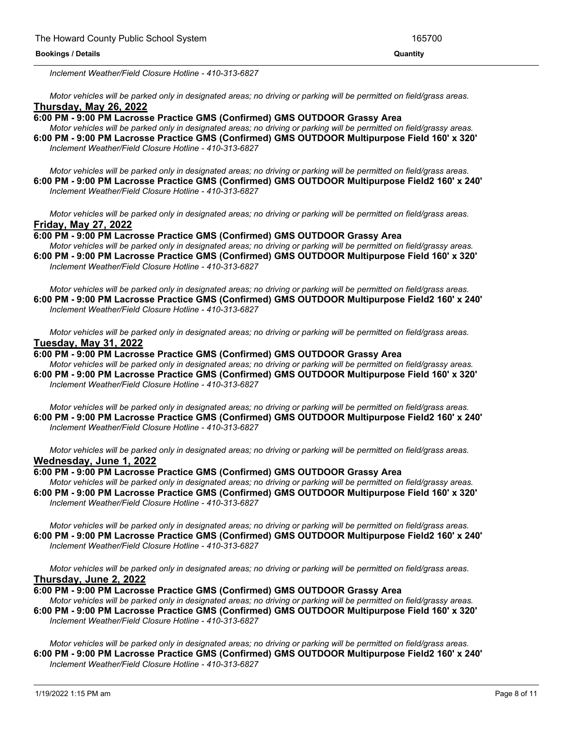*Inclement Weather/Field Closure Hotline - 410-313-6827*

Motor vehicles will be parked only in designated areas; no driving or parking will be permitted on field/grass areas. **Thursday, May 26, 2022**

## **6:00 PM - 9:00 PM Lacrosse Practice GMS (Confirmed) GMS OUTDOOR Grassy Area**

Motor vehicles will be parked only in designated areas; no driving or parking will be permitted on field/grassy areas. **6:00 PM - 9:00 PM Lacrosse Practice GMS (Confirmed) GMS OUTDOOR Multipurpose Field 160' x 320'** *Inclement Weather/Field Closure Hotline - 410-313-6827*

Motor vehicles will be parked only in designated areas; no driving or parking will be permitted on field/grass areas. **6:00 PM - 9:00 PM Lacrosse Practice GMS (Confirmed) GMS OUTDOOR Multipurpose Field2 160' x 240'** *Inclement Weather/Field Closure Hotline - 410-313-6827*

Motor vehicles will be parked only in designated areas; no driving or parking will be permitted on field/grass areas. **Friday, May 27, 2022**

**6:00 PM - 9:00 PM Lacrosse Practice GMS (Confirmed) GMS OUTDOOR Grassy Area**

Motor vehicles will be parked only in designated areas; no driving or parking will be permitted on field/grassy areas. **6:00 PM - 9:00 PM Lacrosse Practice GMS (Confirmed) GMS OUTDOOR Multipurpose Field 160' x 320'** *Inclement Weather/Field Closure Hotline - 410-313-6827*

Motor vehicles will be parked only in designated areas; no driving or parking will be permitted on field/grass areas. **6:00 PM - 9:00 PM Lacrosse Practice GMS (Confirmed) GMS OUTDOOR Multipurpose Field2 160' x 240'** *Inclement Weather/Field Closure Hotline - 410-313-6827*

Motor vehicles will be parked only in designated areas; no driving or parking will be permitted on field/grass areas. **Tuesday, May 31, 2022**

### **6:00 PM - 9:00 PM Lacrosse Practice GMS (Confirmed) GMS OUTDOOR Grassy Area**

Motor vehicles will be parked only in designated areas; no driving or parking will be permitted on field/grassy areas. **6:00 PM - 9:00 PM Lacrosse Practice GMS (Confirmed) GMS OUTDOOR Multipurpose Field 160' x 320'** *Inclement Weather/Field Closure Hotline - 410-313-6827*

Motor vehicles will be parked only in designated areas; no driving or parking will be permitted on field/grass areas. **6:00 PM - 9:00 PM Lacrosse Practice GMS (Confirmed) GMS OUTDOOR Multipurpose Field2 160' x 240'** *Inclement Weather/Field Closure Hotline - 410-313-6827*

Motor vehicles will be parked only in designated areas; no driving or parking will be permitted on field/grass areas. **Wednesday, June 1, 2022**

#### **6:00 PM - 9:00 PM Lacrosse Practice GMS (Confirmed) GMS OUTDOOR Grassy Area**

Motor vehicles will be parked only in designated areas; no driving or parking will be permitted on field/grassy areas. **6:00 PM - 9:00 PM Lacrosse Practice GMS (Confirmed) GMS OUTDOOR Multipurpose Field 160' x 320'** *Inclement Weather/Field Closure Hotline - 410-313-6827*

Motor vehicles will be parked only in designated areas; no driving or parking will be permitted on field/grass areas. **6:00 PM - 9:00 PM Lacrosse Practice GMS (Confirmed) GMS OUTDOOR Multipurpose Field2 160' x 240'** *Inclement Weather/Field Closure Hotline - 410-313-6827*

Motor vehicles will be parked only in designated areas; no driving or parking will be permitted on field/grass areas. **Thursday, June 2, 2022**

**6:00 PM - 9:00 PM Lacrosse Practice GMS (Confirmed) GMS OUTDOOR Grassy Area**

Motor vehicles will be parked only in designated areas; no driving or parking will be permitted on field/grassy areas. **6:00 PM - 9:00 PM Lacrosse Practice GMS (Confirmed) GMS OUTDOOR Multipurpose Field 160' x 320'** *Inclement Weather/Field Closure Hotline - 410-313-6827*

Motor vehicles will be parked only in designated areas; no driving or parking will be permitted on field/grass areas. **6:00 PM - 9:00 PM Lacrosse Practice GMS (Confirmed) GMS OUTDOOR Multipurpose Field2 160' x 240'** *Inclement Weather/Field Closure Hotline - 410-313-6827*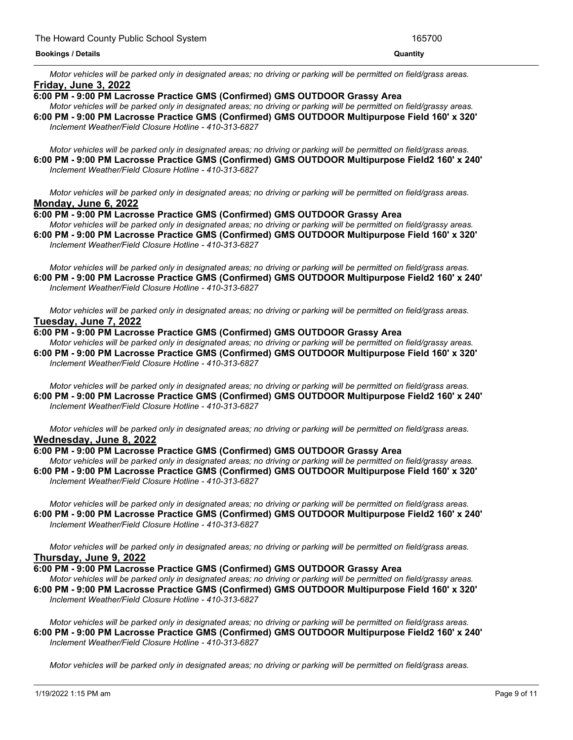Motor vehicles will be parked only in designated areas; no driving or parking will be permitted on field/grass areas. **Friday, June 3, 2022**

- **6:00 PM - 9:00 PM Lacrosse Practice GMS (Confirmed) GMS OUTDOOR Grassy Area**
- Motor vehicles will be parked only in designated areas; no driving or parking will be permitted on field/grassy areas. **6:00 PM - 9:00 PM Lacrosse Practice GMS (Confirmed) GMS OUTDOOR Multipurpose Field 160' x 320'** *Inclement Weather/Field Closure Hotline - 410-313-6827*

Motor vehicles will be parked only in designated areas; no driving or parking will be permitted on field/grass areas. **6:00 PM - 9:00 PM Lacrosse Practice GMS (Confirmed) GMS OUTDOOR Multipurpose Field2 160' x 240'** *Inclement Weather/Field Closure Hotline - 410-313-6827*

Motor vehicles will be parked only in designated areas; no driving or parking will be permitted on field/grass areas. **Monday, June 6, 2022**

### **6:00 PM - 9:00 PM Lacrosse Practice GMS (Confirmed) GMS OUTDOOR Grassy Area**

Motor vehicles will be parked only in designated areas; no driving or parking will be permitted on field/grassy areas. **6:00 PM - 9:00 PM Lacrosse Practice GMS (Confirmed) GMS OUTDOOR Multipurpose Field 160' x 320'** *Inclement Weather/Field Closure Hotline - 410-313-6827*

Motor vehicles will be parked only in designated areas; no driving or parking will be permitted on field/grass areas. **6:00 PM - 9:00 PM Lacrosse Practice GMS (Confirmed) GMS OUTDOOR Multipurpose Field2 160' x 240'** *Inclement Weather/Field Closure Hotline - 410-313-6827*

Motor vehicles will be parked only in designated areas; no driving or parking will be permitted on field/grass areas. **Tuesday, June 7, 2022**

#### **6:00 PM - 9:00 PM Lacrosse Practice GMS (Confirmed) GMS OUTDOOR Grassy Area**

Motor vehicles will be parked only in designated areas; no driving or parking will be permitted on field/grassy areas. **6:00 PM - 9:00 PM Lacrosse Practice GMS (Confirmed) GMS OUTDOOR Multipurpose Field 160' x 320'** *Inclement Weather/Field Closure Hotline - 410-313-6827*

Motor vehicles will be parked only in designated areas; no driving or parking will be permitted on field/grass areas. **6:00 PM - 9:00 PM Lacrosse Practice GMS (Confirmed) GMS OUTDOOR Multipurpose Field2 160' x 240'** *Inclement Weather/Field Closure Hotline - 410-313-6827*

Motor vehicles will be parked only in designated areas; no driving or parking will be permitted on field/grass areas. **Wednesday, June 8, 2022**

**6:00 PM - 9:00 PM Lacrosse Practice GMS (Confirmed) GMS OUTDOOR Grassy Area**

Motor vehicles will be parked only in designated areas; no driving or parking will be permitted on field/grassy areas. **6:00 PM - 9:00 PM Lacrosse Practice GMS (Confirmed) GMS OUTDOOR Multipurpose Field 160' x 320'** *Inclement Weather/Field Closure Hotline - 410-313-6827*

Motor vehicles will be parked only in designated areas; no driving or parking will be permitted on field/grass areas. **6:00 PM - 9:00 PM Lacrosse Practice GMS (Confirmed) GMS OUTDOOR Multipurpose Field2 160' x 240'** *Inclement Weather/Field Closure Hotline - 410-313-6827*

Motor vehicles will be parked only in designated areas; no driving or parking will be permitted on field/grass areas. **Thursday, June 9, 2022**

## **6:00 PM - 9:00 PM Lacrosse Practice GMS (Confirmed) GMS OUTDOOR Grassy Area**

Motor vehicles will be parked only in designated areas; no driving or parking will be permitted on field/grassy areas. **6:00 PM - 9:00 PM Lacrosse Practice GMS (Confirmed) GMS OUTDOOR Multipurpose Field 160' x 320'** *Inclement Weather/Field Closure Hotline - 410-313-6827*

Motor vehicles will be parked only in designated areas; no driving or parking will be permitted on field/grass areas. **6:00 PM - 9:00 PM Lacrosse Practice GMS (Confirmed) GMS OUTDOOR Multipurpose Field2 160' x 240'** *Inclement Weather/Field Closure Hotline - 410-313-6827*

Motor vehicles will be parked only in designated areas; no driving or parking will be permitted on field/grass areas.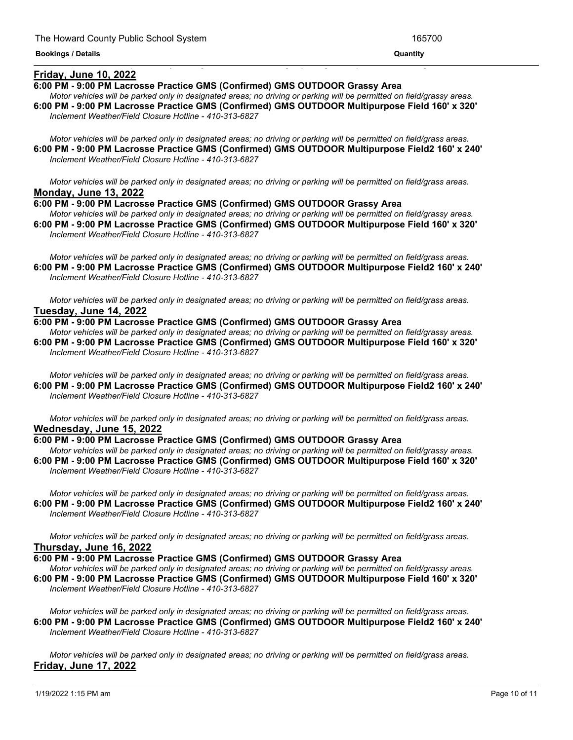## **Friday, June 10, 2022**

## **6:00 PM - 9:00 PM Lacrosse Practice GMS (Confirmed) GMS OUTDOOR Grassy Area**

Motor vehicles will be parked only in designated areas; no driving or parking will be permitted on field/grassy areas. **6:00 PM - 9:00 PM Lacrosse Practice GMS (Confirmed) GMS OUTDOOR Multipurpose Field 160' x 320'** *Inclement Weather/Field Closure Hotline - 410-313-6827*

<u> 1999 - Jan James James James James James James James James James James James James James James James James J</u>

Motor vehicles will be parked only in designated areas; no driving or parking will be permitted on field/grass areas. **6:00 PM - 9:00 PM Lacrosse Practice GMS (Confirmed) GMS OUTDOOR Multipurpose Field2 160' x 240'** *Inclement Weather/Field Closure Hotline - 410-313-6827*

Motor vehicles will be parked only in designated areas; no driving or parking will be permitted on field/grass areas. **Monday, June 13, 2022**

**6:00 PM - 9:00 PM Lacrosse Practice GMS (Confirmed) GMS OUTDOOR Grassy Area**

Motor vehicles will be parked only in designated areas; no driving or parking will be permitted on field/grassy areas. **6:00 PM - 9:00 PM Lacrosse Practice GMS (Confirmed) GMS OUTDOOR Multipurpose Field 160' x 320'** *Inclement Weather/Field Closure Hotline - 410-313-6827*

Motor vehicles will be parked only in designated areas; no driving or parking will be permitted on field/grass areas. **6:00 PM - 9:00 PM Lacrosse Practice GMS (Confirmed) GMS OUTDOOR Multipurpose Field2 160' x 240'** *Inclement Weather/Field Closure Hotline - 410-313-6827*

Motor vehicles will be parked only in designated areas; no driving or parking will be permitted on field/grass areas. **Tuesday, June 14, 2022**

### **6:00 PM - 9:00 PM Lacrosse Practice GMS (Confirmed) GMS OUTDOOR Grassy Area**

Motor vehicles will be parked only in designated areas; no driving or parking will be permitted on field/grassy areas. **6:00 PM - 9:00 PM Lacrosse Practice GMS (Confirmed) GMS OUTDOOR Multipurpose Field 160' x 320'** *Inclement Weather/Field Closure Hotline - 410-313-6827*

Motor vehicles will be parked only in designated areas; no driving or parking will be permitted on field/grass areas. **6:00 PM - 9:00 PM Lacrosse Practice GMS (Confirmed) GMS OUTDOOR Multipurpose Field2 160' x 240'** *Inclement Weather/Field Closure Hotline - 410-313-6827*

Motor vehicles will be parked only in designated areas; no driving or parking will be permitted on field/grass areas. **Wednesday, June 15, 2022**

#### **6:00 PM - 9:00 PM Lacrosse Practice GMS (Confirmed) GMS OUTDOOR Grassy Area**

Motor vehicles will be parked only in designated areas; no driving or parking will be permitted on field/grassy areas. **6:00 PM - 9:00 PM Lacrosse Practice GMS (Confirmed) GMS OUTDOOR Multipurpose Field 160' x 320'** *Inclement Weather/Field Closure Hotline - 410-313-6827*

Motor vehicles will be parked only in designated areas; no driving or parking will be permitted on field/grass areas. **6:00 PM - 9:00 PM Lacrosse Practice GMS (Confirmed) GMS OUTDOOR Multipurpose Field2 160' x 240'** *Inclement Weather/Field Closure Hotline - 410-313-6827*

Motor vehicles will be parked only in designated areas; no driving or parking will be permitted on field/grass areas. **Thursday, June 16, 2022**

**6:00 PM - 9:00 PM Lacrosse Practice GMS (Confirmed) GMS OUTDOOR Grassy Area**

Motor vehicles will be parked only in designated areas; no driving or parking will be permitted on field/grassy areas. **6:00 PM - 9:00 PM Lacrosse Practice GMS (Confirmed) GMS OUTDOOR Multipurpose Field 160' x 320'** *Inclement Weather/Field Closure Hotline - 410-313-6827*

Motor vehicles will be parked only in designated areas; no driving or parking will be permitted on field/grass areas. **6:00 PM - 9:00 PM Lacrosse Practice GMS (Confirmed) GMS OUTDOOR Multipurpose Field2 160' x 240'** *Inclement Weather/Field Closure Hotline - 410-313-6827*

Motor vehicles will be parked only in designated areas; no driving or parking will be permitted on field/grass areas. **Friday, June 17, 2022**